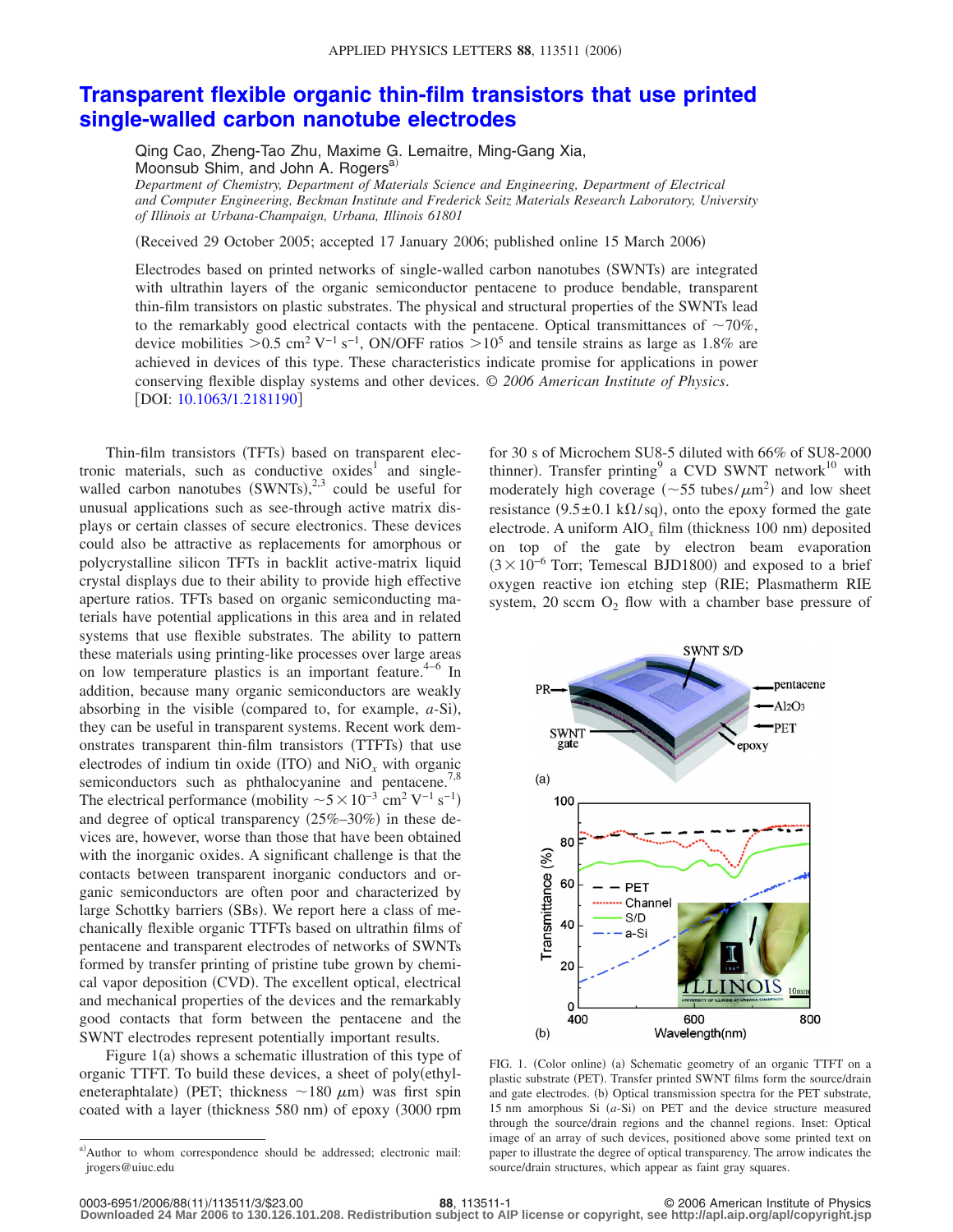## **[Transparent flexible organic thin-film transistors that use printed](http://dx.doi.org/10.1063/1.2181190) [single-walled carbon nanotube electrodes](http://dx.doi.org/10.1063/1.2181190)**

Qing Cao, Zheng-Tao Zhu, Maxime G. Lemaitre, Ming-Gang Xia, Moonsub Shim, and John A. Rogers<sup>a)</sup>

*Department of Chemistry, Department of Materials Science and Engineering, Department of Electrical and Computer Engineering, Beckman Institute and Frederick Seitz Materials Research Laboratory, University of Illinois at Urbana-Champaign, Urbana, Illinois 61801*

(Received 29 October 2005; accepted 17 January 2006; published online 15 March 2006)

Electrodes based on printed networks of single-walled carbon nanotubes (SWNTs) are integrated with ultrathin layers of the organic semiconductor pentacene to produce bendable, transparent thin-film transistors on plastic substrates. The physical and structural properties of the SWNTs lead to the remarkably good electrical contacts with the pentacene. Optical transmittances of  $\sim$ 70%, device mobilities >0.5 cm<sup>2</sup> V<sup>-1</sup> s<sup>-1</sup>, ON/OFF ratios >10<sup>5</sup> and tensile strains as large as 1.8% are achieved in devices of this type. These characteristics indicate promise for applications in power conserving flexible display systems and other devices. © *2006 American Institute of Physics*. [DOI: [10.1063/1.2181190](http://dx.doi.org/10.1063/1.2181190)]

Thin-film transistors (TFTs) based on transparent electronic materials, such as conductive  $oxides<sup>1</sup>$  and singlewalled carbon nanotubes  $(SWNTs),<sup>2,3</sup>$  could be useful for unusual applications such as see-through active matrix displays or certain classes of secure electronics. These devices could also be attractive as replacements for amorphous or polycrystalline silicon TFTs in backlit active-matrix liquid crystal displays due to their ability to provide high effective aperture ratios. TFTs based on organic semiconducting materials have potential applications in this area and in related systems that use flexible substrates. The ability to pattern these materials using printing-like processes over large areas on low temperature plastics is an important feature.<sup>4–6</sup> In addition, because many organic semiconductors are weakly absorbing in the visible (compared to, for example,  $a$ -Si), they can be useful in transparent systems. Recent work demonstrates transparent thin-film transistors (TTFTs) that use electrodes of indium tin oxide (ITO) and  $\text{NiO}_x$  with organic semiconductors such as phthalocyanine and pentacene.<sup>7,8</sup> The electrical performance (mobility  $\sim 5 \times 10^{-3}$  cm<sup>2</sup> V<sup>-1</sup> s<sup>-1</sup>) and degree of optical transparency (25%-30%) in these devices are, however, worse than those that have been obtained with the inorganic oxides. A significant challenge is that the contacts between transparent inorganic conductors and organic semiconductors are often poor and characterized by large Schottky barriers (SBs). We report here a class of mechanically flexible organic TTFTs based on ultrathin films of pentacene and transparent electrodes of networks of SWNTs formed by transfer printing of pristine tube grown by chemical vapor deposition (CVD). The excellent optical, electrical and mechanical properties of the devices and the remarkably good contacts that form between the pentacene and the SWNT electrodes represent potentially important results.

Figure 1(a) shows a schematic illustration of this type of organic TTFT. To build these devices, a sheet of poly(ethyleneteraphtalate) (PET; thickness  $\sim$  180  $\mu$ m) was first spin coated with a layer (thickness 580 nm) of epoxy (3000 rpm

for 30 s of Microchem SU8-5 diluted with 66% of SU8-2000 thinner). Transfer printing<sup>9</sup> a CVD SWNT network<sup>10</sup> with moderately high coverage ( $\sim$ 55 tubes/ $\mu$ m<sup>2</sup>) and low sheet resistance (9.5 $\pm$ 0.1 k $\Omega$ /sq), onto the epoxy formed the gate electrode. A uniform  $\text{AlO}_x$  film (thickness 100 nm) deposited on top of the gate by electron beam evaporation  $(3 \times 10^{-6}$  Torr; Temescal BJD1800) and exposed to a brief oxygen reactive ion etching step (RIE; Plasmatherm RIE system, 20 sccm  $O_2$  flow with a chamber base pressure of



FIG. 1. (Color online) (a) Schematic geometry of an organic TTFT on a plastic substrate (PET). Transfer printed SWNT films form the source/drain and gate electrodes. (b) Optical transmission spectra for the PET substrate, 15 nm amorphous Si  $(a-Si)$  on PET and the device structure measured through the source/drain regions and the channel regions. Inset: Optical image of an array of such devices, positioned above some printed text on paper to illustrate the degree of optical transparency. The arrow indicates the source/drain structures, which appear as faint gray squares.

a)Author to whom correspondence should be addressed; electronic mail: jrogers@uiuc.edu

**<sup>88</sup>**, 113511-1 © 2006 American Institute of Physics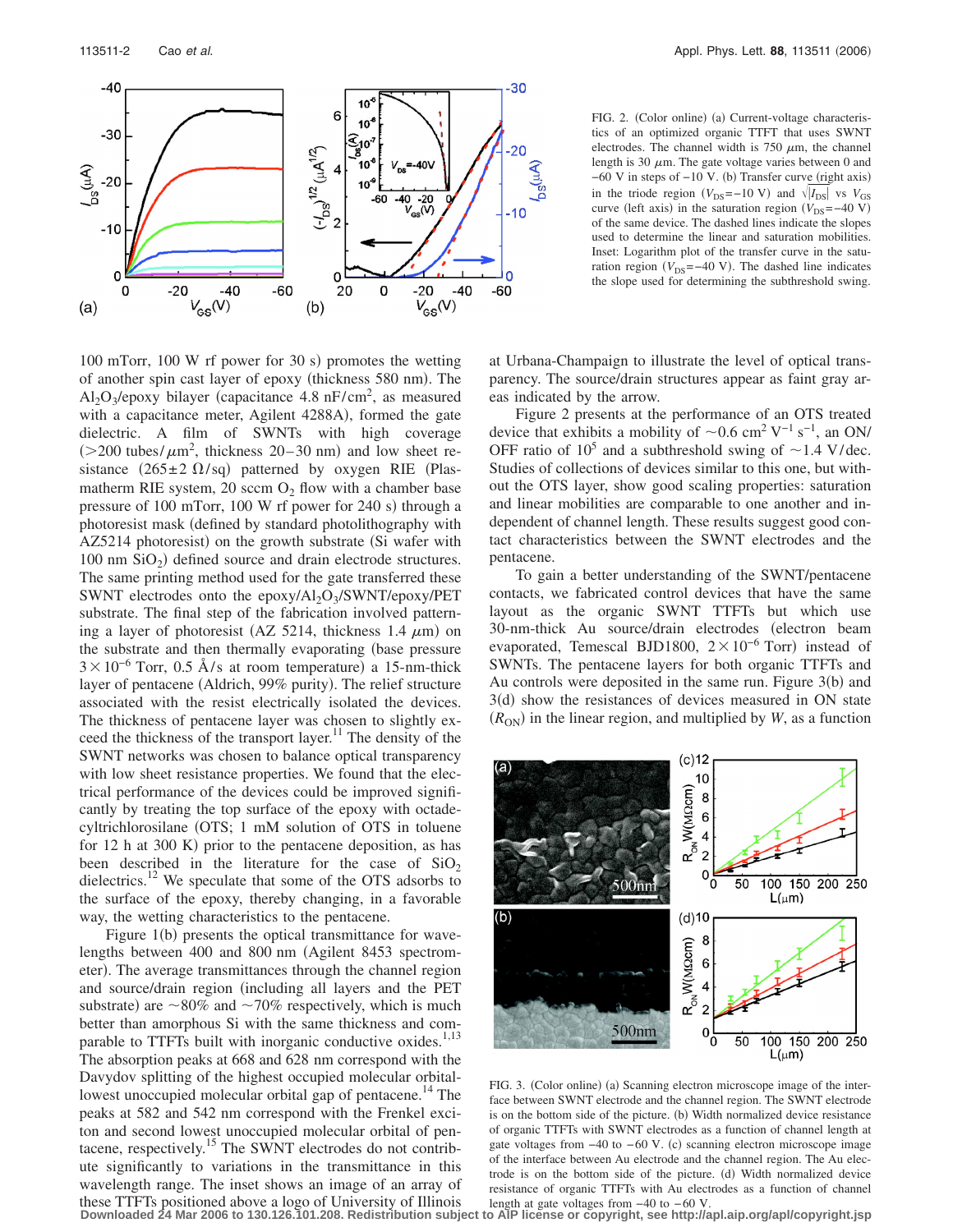

100 mTorr, 100 W rf power for 30 s) promotes the wetting of another spin cast layer of epoxy (thickness 580 nm). The  $Al_2O_3$ /epoxy bilayer (capacitance 4.8 nF/cm<sup>2</sup>, as measured with a capacitance meter, Agilent 4288A), formed the gate dielectric. A film of SWNTs with high coverage  $(>= 200 \text{ tubes/m}^2, \text{ thickness } 20 - 30 \text{ nm})$  and low sheet resistance (265 $\pm$ 2  $\Omega$ /sq) patterned by oxygen RIE (Plasmatherm RIE system, 20 sccm  $O_2$  flow with a chamber base pressure of 100 mTorr, 100 W rf power for 240 s) through a photoresist mask defined by standard photolithography with AZ5214 photoresist) on the growth substrate (Si wafer with 100 nm  $SiO<sub>2</sub>$ ) defined source and drain electrode structures. The same printing method used for the gate transferred these SWNT electrodes onto the epoxy/Al<sub>2</sub>O<sub>3</sub>/SWNT/epoxy/PET substrate. The final step of the fabrication involved patterning a layer of photoresist (AZ 5214, thickness 1.4  $\mu$ m) on the substrate and then thermally evaporating (base pressure  $3 \times 10^{-6}$  Torr, 0.5 Å/s at room temperature) a 15-nm-thick layer of pentacene (Aldrich, 99% purity). The relief structure associated with the resist electrically isolated the devices. The thickness of pentacene layer was chosen to slightly exceed the thickness of the transport layer.<sup>11</sup> The density of the SWNT networks was chosen to balance optical transparency with low sheet resistance properties. We found that the electrical performance of the devices could be improved significantly by treating the top surface of the epoxy with octadecyltrichlorosilane OTS; 1 mM solution of OTS in toluene for 12 h at 300 K) prior to the pentacene deposition, as has been described in the literature for the case of  $SiO<sub>2</sub>$ dielectrics.<sup>12</sup> We speculate that some of the OTS adsorbs to the surface of the epoxy, thereby changing, in a favorable way, the wetting characteristics to the pentacene.

Figure 1(b) presents the optical transmittance for wavelengths between 400 and 800 nm (Agilent 8453 spectrometer). The average transmittances through the channel region and source/drain region (including all layers and the PET substrate) are  $\sim 80\%$  and  $\sim 70\%$  respectively, which is much better than amorphous Si with the same thickness and comparable to TTFTs built with inorganic conductive oxides.<sup>1,13</sup> The absorption peaks at 668 and 628 nm correspond with the Davydov splitting of the highest occupied molecular orbitallowest unoccupied molecular orbital gap of pentacene.<sup>14</sup> The peaks at 582 and 542 nm correspond with the Frenkel exciton and second lowest unoccupied molecular orbital of pentacene, respectively.15 The SWNT electrodes do not contribute significantly to variations in the transmittance in this wavelength range. The inset shows an image of an array of these TTFTs positioned above a logo of University of Illinois

FIG. 2. (Color online) (a) Current-voltage characteristics of an optimized organic TTFT that uses SWNT electrodes. The channel width is  $750 \mu m$ , the channel length is 30  $\mu$ m. The gate voltage varies between 0 and  $-60$  V in steps of  $-10$  V. (b) Transfer curve (right axis) in the triode region  $(V_{DS}=-10 \text{ V})$  and  $\sqrt{|I_{DS}|}$  vs  $V_{GS}$ curve (left axis) in the saturation region  $(V_{DS}=-40 \text{ V})$ of the same device. The dashed lines indicate the slopes used to determine the linear and saturation mobilities. Inset: Logarithm plot of the transfer curve in the saturation region  $(V_{DS} = -40 \text{ V})$ . The dashed line indicates the slope used for determining the subthreshold swing.

at Urbana-Champaign to illustrate the level of optical transparency. The source/drain structures appear as faint gray areas indicated by the arrow.

Figure 2 presents at the performance of an OTS treated device that exhibits a mobility of  $\sim 0.6$  cm<sup>2</sup> V<sup>-1</sup> s<sup>-1</sup>, an ON/ OFF ratio of  $10^5$  and a subthreshold swing of  $\sim$  1.4 V/ dec. Studies of collections of devices similar to this one, but without the OTS layer, show good scaling properties: saturation and linear mobilities are comparable to one another and independent of channel length. These results suggest good contact characteristics between the SWNT electrodes and the pentacene.

To gain a better understanding of the SWNT/pentacene contacts, we fabricated control devices that have the same layout as the organic SWNT TTFTs but which use 30-nm-thick Au source/drain electrodes (electron beam evaporated, Temescal BJD1800,  $2 \times 10^{-6}$  Torr) instead of SWNTs. The pentacene layers for both organic TTFTs and Au controls were deposited in the same run. Figure  $3(b)$  and 3(d) show the resistances of devices measured in ON state  $(R<sub>ON</sub>)$  in the linear region, and multiplied by *W*, as a function



FIG. 3. (Color online) (a) Scanning electron microscope image of the interface between SWNT electrode and the channel region. The SWNT electrode is on the bottom side of the picture. (b) Width normalized device resistance of organic TTFTs with SWNT electrodes as a function of channel length at gate voltages from -40 to -60 V. (c) scanning electron microscope image of the interface between Au electrode and the channel region. The Au electrode is on the bottom side of the picture. (d) Width normalized device resistance of organic TTFTs with Au electrodes as a function of channel length at gate voltages from −40 to − 60 V.

**Downloaded 24 Mar 2006 to 130.126.101.208. Redistribution subject to AIP license or copyright, see http://apl.aip.org/apl/copyright.jsp**